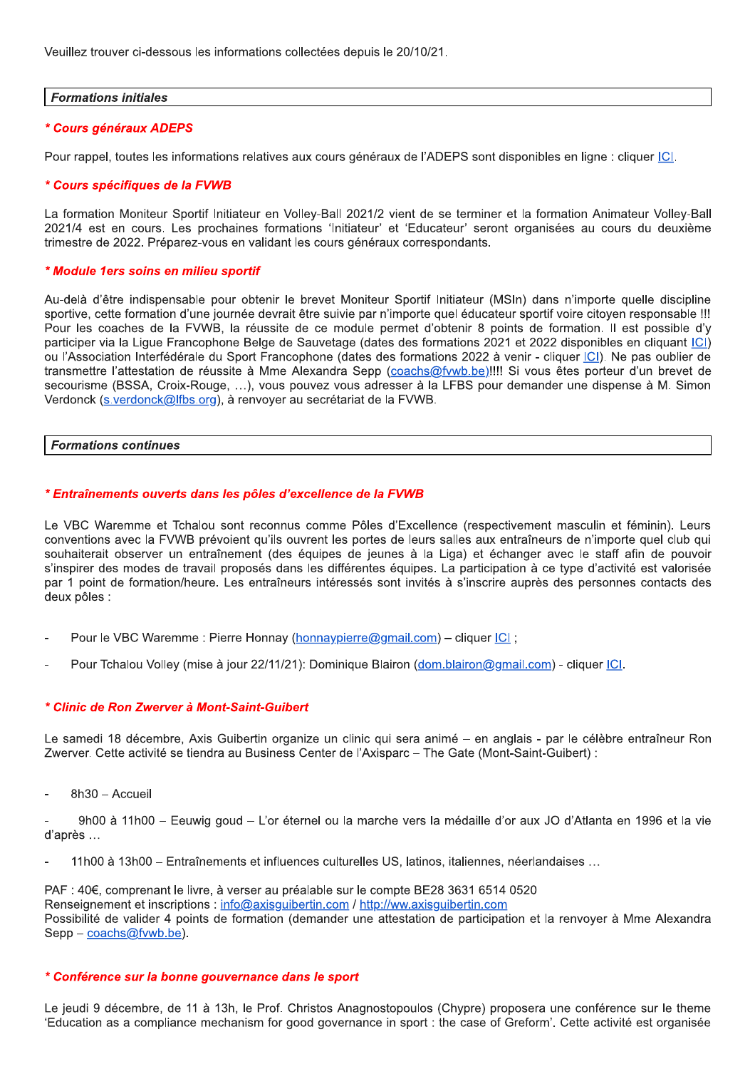Veuillez trouver ci-dessous les informations collectées depuis le 20/10/21.

# **Formations initiales**

# \* Cours généraux ADEPS

Pour rappel, toutes les informations relatives aux cours généraux de l'ADEPS sont disponibles en ligne : cliquer ICI.

#### \* Cours spécifiques de la FVWB

La formation Moniteur Sportif Initiateur en Volley-Ball 2021/2 vient de se terminer et la formation Animateur Volley-Ball 2021/4 est en cours. Les prochaines formations 'Initiateur' et 'Educateur' seront organisées au cours du deuxième trimestre de 2022. Préparez-vous en validant les cours généraux correspondants.

#### \* Module 1ers soins en milieu sportif

Au-delà d'être indispensable pour obtenir le brevet Moniteur Sportif Initiateur (MSIn) dans n'importe quelle discipline sportive, cette formation d'une journée devrait être suivie par n'importe quel éducateur sportif voire citoyen responsable !!! Pour les coaches de la FVWB, la réussite de ce module permet d'obtenir 8 points de formation. Il est possible d'y participer via la Lique Francophone Belge de Sauvetage (dates des formations 2021 et 2022 disponibles en cliquant ICI) ou l'Association Interfédérale du Sport Francophone (dates des formations 2022 à venir - cliquer ICI). Ne pas oublier de transmettre l'attestation de réussite à Mme Alexandra Sepp (coachs@fvwb.be)!!!! Si vous êtes porteur d'un brevet de secourisme (BSSA, Croix-Rouge, ...), vous pouvez vous adresser à la LFBS pour demander une dispense à M. Simon Verdonck (s. verdonck@lfbs.org), à renvoyer au secrétariat de la FVWB.

#### **Formations continues**

#### \* Entraînements ouverts dans les pôles d'excellence de la FVWB

Le VBC Waremme et Tchalou sont reconnus comme Pôles d'Excellence (respectivement masculin et féminin). Leurs conventions avec la FVWB prévoient qu'ils ouvrent les portes de leurs salles aux entraîneurs de n'importe quel club qui souhaiterait observer un entraînement (des équipes de jeunes à la Liga) et échanger avec le staff afin de pouvoir s'inspirer des modes de travail proposés dans les différentes équipes. La participation à ce type d'activité est valorisée par 1 point de formation/heure. Les entraîneurs intéressés sont invités à s'inscrire auprès des personnes contacts des deux pôles :

- Pour le VBC Waremme : Pierre Honnay (honnaypierre@gmail.com) cliquer ICI :
- Pour Tchalou Volley (mise à jour 22/11/21): Dominique Blairon (dom.blairon@gmail.com) cliquer [C].

#### \* Clinic de Ron Zwerver à Mont-Saint-Guibert

Le samedi 18 décembre, Axis Guibertin organize un clinic qui sera animé – en anglais - par le célèbre entraîneur Ron Zwerver. Cette activité se tiendra au Business Center de l'Axisparc - The Gate (Mont-Saint-Guibert) :

8h30 - Accueil

9h00 à 11h00 – Eeuwig goud – L'or éternel ou la marche vers la médaille d'or aux JO d'Atlanta en 1996 et la vie d'après ...

11h00 à 13h00 - Entraînements et influences culturelles US, latinos, italiennes, néerlandaises ...

PAF : 40€, comprenant le livre, à verser au préalable sur le compte BE28 3631 6514 0520 Renseignement et inscriptions : info@axisquibertin.com / http://ww.axisquibertin.com Possibilité de valider 4 points de formation (demander une attestation de participation et la renvoyer à Mme Alexandra Sepp - coachs@fvwb.be).

#### \* Conférence sur la bonne gouvernance dans le sport

Le jeudi 9 décembre, de 11 à 13h, le Prof. Christos Anagnostopoulos (Chypre) proposera une conférence sur le theme 'Education as a compliance mechanism for good governance in sport : the case of Greform'. Cette activité est organisée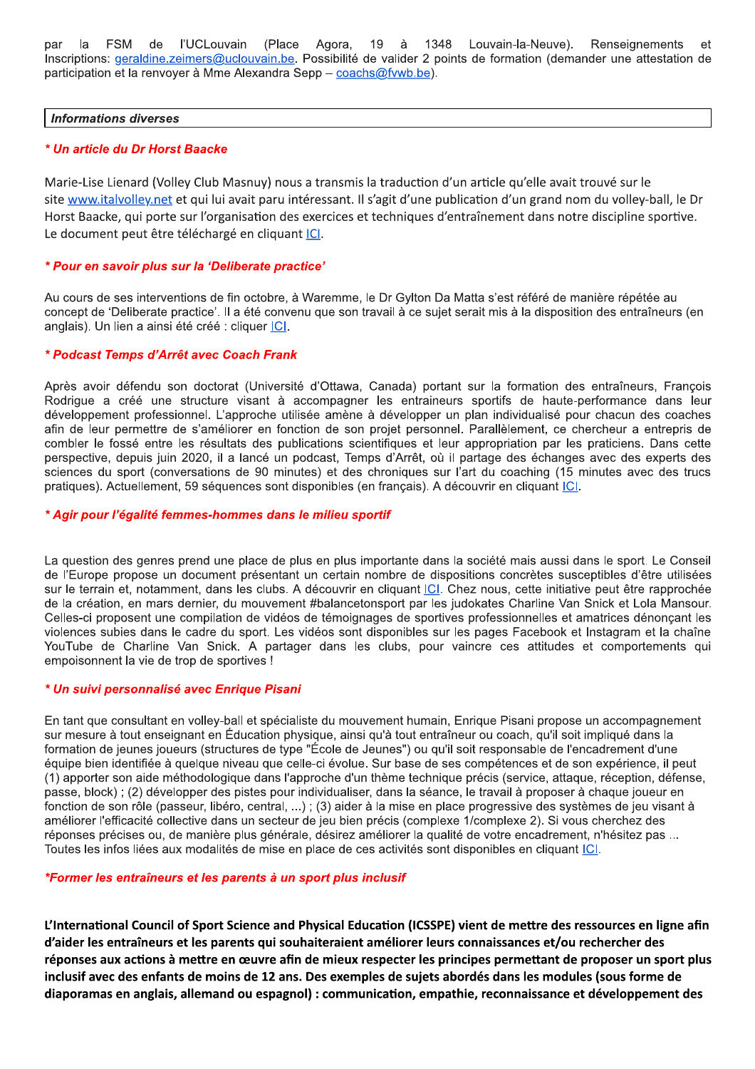de l'UCLouvain (Place par la FSM 19 1348 Louvain-la-Neuve). Renseignements Agora, à  $et$ Inscriptions: geraldine.zeimers@uclouvain.be. Possibilité de valider 2 points de formation (demander une attestation de participation et la renvoyer à Mme Alexandra Sepp - coachs@fvwb.be).

#### **Informations diverses**

### \* Un article du Dr Horst Baacke

Marie-Lise Lienard (Volley Club Masnuy) nous a transmis la traduction d'un article qu'elle avait trouvé sur le site www.italvolley.net et qui lui avait paru intéressant. Il s'agit d'une publication d'un grand nom du volley-ball, le Dr Horst Baacke, qui porte sur l'organisation des exercices et techniques d'entraînement dans notre discipline sportive. Le document peut être téléchargé en cliquant ICI.

#### \* Pour en savoir plus sur la 'Deliberate practice'

Au cours de ses interventions de fin octobre, à Waremme, le Dr Gylton Da Matta s'est référé de manière répétée au concept de 'Deliberate practice'. Il a été convenu que son travail à ce sujet serait mis à la disposition des entraîneurs (en anglais). Un lien a ainsi été créé : cliquer *ICI*.

#### \* Podcast Temps d'Arrêt avec Coach Frank

Après avoir défendu son doctorat (Université d'Ottawa, Canada) portant sur la formation des entraîneurs, François Rodrigue a créé une structure visant à accompagner les entraineurs sportifs de haute-performance dans leur développement professionnel. L'approche utilisée amène à développer un plan individualisé pour chacun des coaches afin de leur permettre de s'améliorer en fonction de son projet personnel. Parallèlement, ce chercheur a entrepris de combler le fossé entre les résultats des publications scientifiques et leur appropriation par les praticiens. Dans cette perspective, depuis juin 2020, il a lancé un podcast, Temps d'Arrêt, où il partage des échanges avec des experts des sciences du sport (conversations de 90 minutes) et des chroniques sur l'art du coaching (15 minutes avec des trucs pratiques). Actuellement, 59 séquences sont disponibles (en français). A découvrir en cliquant ICI.

# \* Agir pour l'égalité femmes-hommes dans le milieu sportif

La question des genres prend une place de plus en plus importante dans la société mais aussi dans le sport. Le Conseil de l'Europe propose un document présentant un certain nombre de dispositions concrètes susceptibles d'être utilisées sur le terrain et, notamment, dans les clubs. A découvrir en cliquant ICI. Chez nous, cette initiative peut être rapprochée de la création, en mars dernier, du mouvement #balancetonsport par les judokates Charline Van Snick et Lola Mansour. Celles-ci proposent une compilation de vidéos de témoignages de sportives professionnelles et amatrices dénonçant les violences subies dans le cadre du sport. Les vidéos sont disponibles sur les pages Facebook et Instagram et la chaîne YouTube de Charline Van Snick. A partager dans les clubs, pour vaincre ces attitudes et comportements qui empoisonnent la vie de trop de sportives !

# \* Un suivi personnalisé avec Enrique Pisani

En tant que consultant en volley-ball et spécialiste du mouvement humain. Enrique Pisani propose un accompagnement sur mesure à tout enseignant en Éducation physique, ainsi qu'à tout entraîneur ou coach, qu'il soit impliqué dans la formation de jeunes joueurs (structures de type "École de Jeunes") ou qu'il soit responsable de l'encadrement d'une équipe bien identifiée à quelque niveau que celle-ci évolue. Sur base de ses compétences et de son expérience, il peut (1) apporter son aide méthodologique dans l'approche d'un thème technique précis (service, attaque, réception, défense, passe, block) ; (2) développer des pistes pour individualiser, dans la séance, le travail à proposer à chaque joueur en fonction de son rôle (passeur, libéro, central, ...); (3) aider à la mise en place progressive des systèmes de jeu visant à améliorer l'efficacité collective dans un secteur de jeu bien précis (complexe 1/complexe 2). Si vous cherchez des réponses précises ou, de manière plus générale, désirez améliorer la qualité de votre encadrement, n'hésitez pas ... Toutes les infos liées aux modalités de mise en place de ces activités sont disponibles en cliquant [C].

#### \*Former les entraîneurs et les parents à un sport plus inclusif

L'International Council of Sport Science and Physical Education (ICSSPE) vient de mettre des ressources en ligne afin d'aider les entraîneurs et les parents qui souhaiteraient améliorer leurs connaissances et/ou rechercher des réponses aux actions à mettre en œuvre afin de mieux respecter les principes permettant de proposer un sport plus inclusif avec des enfants de moins de 12 ans. Des exemples de sujets abordés dans les modules (sous forme de diaporamas en anglais, allemand ou espagnol) : communication, empathie, reconnaissance et développement des